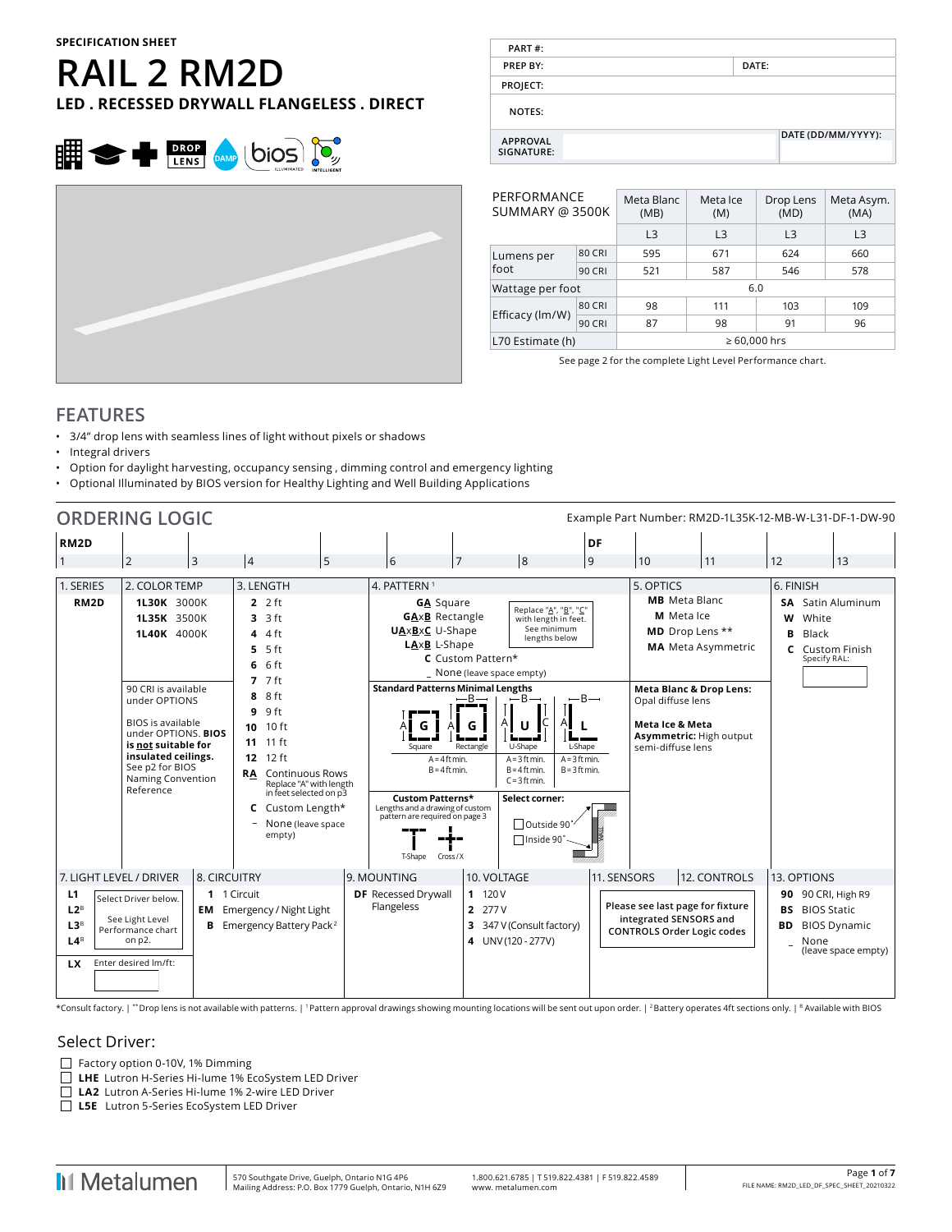# **RAIL 2 RM2D LED . RECESSED DRYWALL FLANGELESS . DIRECT**





**PREP BY: DATE:**

**PART #:**

| PERFORMANCE<br>SUMMARY @ 3500K |               | Meta Blanc<br>(MB)   | Meta Ice<br>(M) | Drop Lens<br>(MD) | Meta Asym.<br>(MA) |  |  |  |  |  |
|--------------------------------|---------------|----------------------|-----------------|-------------------|--------------------|--|--|--|--|--|
|                                |               | L <sub>3</sub>       | L3              | L <sub>3</sub>    | L <sub>3</sub>     |  |  |  |  |  |
| Lumens per                     | 80 CRI        | 595                  | 671             | 624               | 660                |  |  |  |  |  |
| foot                           | <b>90 CRI</b> | 521                  | 578             |                   |                    |  |  |  |  |  |
| Wattage per foot               |               | 6.0                  |                 |                   |                    |  |  |  |  |  |
|                                | 80 CRI        | 98                   | 111             | 103               | 109                |  |  |  |  |  |
| Efficacy (lm/W)                | <b>90 CRI</b> | 87<br>96<br>98<br>91 |                 |                   |                    |  |  |  |  |  |
| L70 Estimate (h)               |               | $\geq 60,000$ hrs    |                 |                   |                    |  |  |  |  |  |

See page 2 for the complete Light Level Performance chart.

# **FEATURES**

- 3/4" drop lens with seamless lines of light without pixels or shadows
- Integral drivers
- Option for daylight harvesting, occupancy sensing , dimming control and emergency lighting
- Optional Illuminated by BIOS version for Healthy Lighting and Well Building Applications

|                                                                                                                                                                       | <b>ORDERING LOGIC</b>                                                                                                                                                                                                                   |                                                                                                                                                                                                                                                                                                                   |                                                                                                                                                                                                                                                                                               |                                                 |                                                                                                                                                                                                                                                                                                     |                                                             | Example Part Number: RM2D-1L35K-12-MB-W-L31-DF-1-DW-90                                                                                                                              |                           |                                                                            |                                            |  |  |  |  |
|-----------------------------------------------------------------------------------------------------------------------------------------------------------------------|-----------------------------------------------------------------------------------------------------------------------------------------------------------------------------------------------------------------------------------------|-------------------------------------------------------------------------------------------------------------------------------------------------------------------------------------------------------------------------------------------------------------------------------------------------------------------|-----------------------------------------------------------------------------------------------------------------------------------------------------------------------------------------------------------------------------------------------------------------------------------------------|-------------------------------------------------|-----------------------------------------------------------------------------------------------------------------------------------------------------------------------------------------------------------------------------------------------------------------------------------------------------|-------------------------------------------------------------|-------------------------------------------------------------------------------------------------------------------------------------------------------------------------------------|---------------------------|----------------------------------------------------------------------------|--------------------------------------------|--|--|--|--|
| RM <sub>2</sub> D                                                                                                                                                     |                                                                                                                                                                                                                                         |                                                                                                                                                                                                                                                                                                                   |                                                                                                                                                                                                                                                                                               |                                                 |                                                                                                                                                                                                                                                                                                     | DF                                                          |                                                                                                                                                                                     |                           |                                                                            |                                            |  |  |  |  |
|                                                                                                                                                                       | 3<br>2                                                                                                                                                                                                                                  | $\overline{4}$<br>5                                                                                                                                                                                                                                                                                               | 6                                                                                                                                                                                                                                                                                             | 7                                               | 8                                                                                                                                                                                                                                                                                                   | $\overline{9}$                                              | 10                                                                                                                                                                                  | 11                        | 12                                                                         | 13                                         |  |  |  |  |
| 1. SERIES                                                                                                                                                             | 2. COLOR TEMP                                                                                                                                                                                                                           | 3. LENGTH                                                                                                                                                                                                                                                                                                         | 4. PATTERN <sup>1</sup>                                                                                                                                                                                                                                                                       |                                                 |                                                                                                                                                                                                                                                                                                     |                                                             | 5. OPTICS                                                                                                                                                                           |                           | 6. FINISH                                                                  |                                            |  |  |  |  |
| RM <sub>2</sub> D                                                                                                                                                     | 1L30K 3000K<br>1L35K 3500K<br>1L40K 4000K<br>90 CRI is available<br>under OPTIONS<br><b>BIOS</b> is available<br>under OPTIONS. BIOS<br>is not suitable for<br>insulated ceilings.<br>See p2 for BIOS<br>Naming Convention<br>Reference | $2.2$ ft<br>3 ft<br>3<br>4 ft<br>4<br>5 <sub>ft</sub><br>5.<br>6 ft<br>6<br>$7.7$ ft<br>8 ft<br>8<br>9 ft<br>9<br>10 ft<br>10<br>$11$ ft<br>11<br>$12$ ft<br>12<br><b>Continuous Rows</b><br><b>RA</b><br>Replace "A" with length<br>in feet selected on p3<br>Custom Length*<br>c<br>None (leave space<br>empty) | <b>GA</b> Square<br><b>GAxB</b> Rectangle<br><b>UAxBxC</b> U-Shape<br>LAxB L-Shape<br><b>Standard Patterns Minimal Lengths</b><br>Square<br>$A = 4$ ft min.<br>$B = 4$ ft min.<br>Custom Patterns*<br>Lengths and a drawing of custom<br>pattern are required on page 3<br>T-Shape<br>Cross/X | C Custom Pattern*<br>$-B-$<br>Rectangle         | Replace "A", "B", "C"<br>with length in feet.<br>See minimum<br>lengths below<br>_ None (leave space empty)<br>$-B-$<br>$-B-$<br>U-Shape<br>L-Shape<br>$A = 3$ ft min.<br>$A = 3$ ft min.<br>$B = 4$ ft min.<br>$B = 3$ ft min.<br>$C = 3$ ft min.<br>Select corner:<br>™Outside 90°<br>□Inside 90° |                                                             | <b>MB</b> Meta Blanc<br>M Meta Ice<br>MD Drop Lens **<br><b>Meta Blanc &amp; Drop Lens:</b><br>Opal diffuse lens<br>Meta Ice & Meta<br>Asymmetric: High output<br>semi-diffuse lens | <b>MA</b> Meta Asymmetric | <b>SA</b> Satin Aluminum<br>White<br>w<br>Black<br>B<br>C.<br>Specify RAL: | <b>Custom Finish</b>                       |  |  |  |  |
| L1<br>$L2^B$                                                                                                                                                          | 7. LIGHT LEVEL / DRIVER<br>Select Driver below.<br>EM                                                                                                                                                                                   | 8. CIRCUITRY<br>1 1 Circuit<br>Emergency / Night Light                                                                                                                                                                                                                                                            | 9. MOUNTING<br><b>DF</b> Recessed Drywall<br>Flangeless                                                                                                                                                                                                                                       | 10. VOLTAGE<br>11120V<br>2 277 V                |                                                                                                                                                                                                                                                                                                     | 11. SENSORS                                                 | Please see last page for fixture                                                                                                                                                    | 12. CONTROLS              | 13. OPTIONS<br>90 90 CRI, High R9<br><b>BS</b> BIOS Static                 |                                            |  |  |  |  |
| See Light Level<br>L3 <sup>B</sup><br>Emergency Battery Pack <sup>2</sup><br>в<br>Performance chart<br>L4 <sup>B</sup><br>on p2.<br>Enter desired Im/ft:<br><b>LX</b> |                                                                                                                                                                                                                                         |                                                                                                                                                                                                                                                                                                                   |                                                                                                                                                                                                                                                                                               | 3 347 V (Consult factory)<br>4 UNV (120 - 277V) |                                                                                                                                                                                                                                                                                                     | integrated SENSORS and<br><b>CONTROLS Order Logic codes</b> |                                                                                                                                                                                     |                           | BD<br>None                                                                 | <b>BIOS Dynamic</b><br>(leave space empty) |  |  |  |  |

\*Consult factory. | \*\* Drop lens is not available with patterns. | 1 Pattern approval drawings showing mounting locations will be sent out upon order. | 2 Battery operates 4ft sections only. | B Available with BIOS

#### Select Driver:

- $\Box$  Factory option 0-10V, 1% Dimming
- $\Box$ **LHE** Lutron H-Series Hi-lume 1% EcoSystem LED Driver
- **LA2** Lutron A-Series Hi-lume 1% 2-wire LED Driver **LECTER LUTREN A-Series Hi-Iume 130 Z-wire LLE**<br>
■ LSE Lutron 5-Series EcoSystem LED Driver
-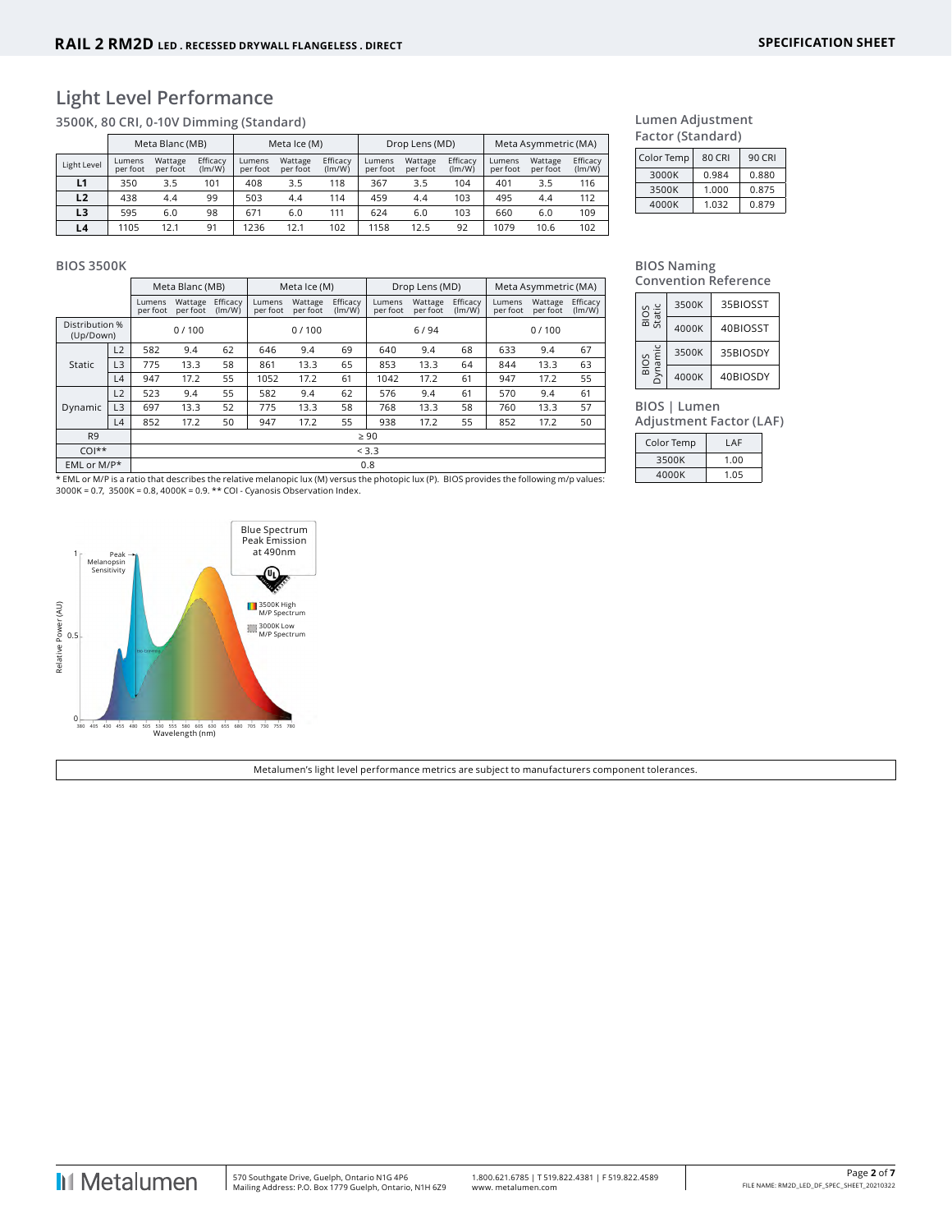# **Light Level Performance**

**3500K, 80 CRI, 0-10V Dimming (Standard)**

|             |                    | Meta Blanc (MB)     |                    |                    | Meta Ice (M)        |                    |                    | Drop Lens (MD)      |                    | Meta Asymmetric (MA) |                     |                    |  |  |
|-------------|--------------------|---------------------|--------------------|--------------------|---------------------|--------------------|--------------------|---------------------|--------------------|----------------------|---------------------|--------------------|--|--|
| Light Level | Lumens<br>per foot | Wattage<br>per foot | Efficacy<br>(lm/W) | Lumens<br>per foot | Wattage<br>per foot | Efficacy<br>(lm/W) | Lumens<br>per foot | Wattage<br>per foot | Efficacy<br>(lm/W) | Lumens<br>per foot   | Wattage<br>per foot | Efficacy<br>(lm/W) |  |  |
| L1          | 350                | 3.5                 | 101                | 408                | 3.5                 | 118                | 367                | 3.5                 | 104                | 401                  | 3.5                 | 116                |  |  |
| L2          | 438                | 4.4                 | 99                 | 503                | 4.4                 | 114                | 459                | 4.4                 | 103                | 495                  | 4.4                 | 112                |  |  |
| L3          | 595                | 6.0                 | 98                 | 671                | 6.0                 | 111                | 624                | 6.0                 | 103                | 660                  | 6.0                 | 109                |  |  |
| L4          | 1105               | 12.1                | 91                 | 1236               | 12.1                | 102                | 1158               | 12.5                | 92                 | 1079                 | 10.6                | 102                |  |  |

#### **Lumen Adjustment Factor (Standard)**

| Color Temp | 80 CRI | 90 CRI |
|------------|--------|--------|
| 3000K      | 0.984  | 0.880  |
| 3500K      | 1.000  | 0.875  |
| 4000K      | 1.032  | 0.879  |

#### **BIOS 3500K**

|                             | Meta Blanc (MB) |                    |                     |                    |                    | Meta Ice (M)        |                    |                    | Drop Lens (MD)      |                    | Meta Asymmetric (MA) |                     |                    |  |  |
|-----------------------------|-----------------|--------------------|---------------------|--------------------|--------------------|---------------------|--------------------|--------------------|---------------------|--------------------|----------------------|---------------------|--------------------|--|--|
|                             |                 | Lumens<br>per foot | Wattage<br>per foot | Efficacy<br>(lm/W) | Lumens<br>per foot | Wattage<br>per foot | Efficacy<br>(lm/W) | Lumens<br>per foot | Wattage<br>per foot | Efficacy<br>(lm/W) | Lumens<br>per foot   | Wattage<br>per foot | Efficacy<br>(lm/W) |  |  |
| Distribution %<br>(Up/Down) |                 | 0/100              |                     |                    |                    | 0/100               |                    |                    | 6/94                |                    | 0/100                |                     |                    |  |  |
|                             | L2              | 582                | 9.4                 | 62                 | 646                | 9.4                 | 69                 | 640                | 9.4                 | 68                 | 633                  | 9.4                 | 67                 |  |  |
| Static                      | L3              | 775                | 13.3                | 58                 | 861                | 13.3                | 65                 | 853                | 13.3                | 64                 | 844                  | 13.3                | 63                 |  |  |
|                             | L4              | 947                | 17.2                | 55                 | 1052               | 17.2                | 61                 | 1042               | 17.2                | 61                 | 947                  | 17.2                | 55                 |  |  |
|                             | L2              | 523                | 9.4                 | 55                 | 582                | 9.4                 | 62                 | 576                | 9.4                 | 61                 | 570                  | 9.4                 | 61                 |  |  |
| Dynamic                     | L <sub>3</sub>  | 697                | 13.3                | 52                 | 775                | 13.3                | 58                 | 768                | 13.3                | 58                 | 760                  | 13.3                | 57                 |  |  |
|                             | L4              | 852                | 17.2                | 50                 | 947                | 17.2                | 55                 | 938                | 17.2                | 55                 | 852                  | 17.2                | 50                 |  |  |
| R <sub>9</sub>              |                 |                    |                     |                    |                    |                     |                    | $\geq 90$          |                     |                    |                      |                     |                    |  |  |
| $COI**$                     |                 |                    | < 3.3               |                    |                    |                     |                    |                    |                     |                    |                      |                     |                    |  |  |
| EML or M/P*                 |                 |                    |                     |                    |                    |                     |                    | 0.8                |                     |                    |                      |                     |                    |  |  |

\* EML or M/P is a ratio that describes the relative melanopic lux (M) versus the photopic lux (P). BIOS provides the following m/p values:<br>3000K = 0.7, 3500K = 0.8, 4000K = 0.9. \*\* COI - Cyanosis Observation Index.



**BIOS Naming Convention Reference**

| BIOS<br>Static | 3500K | 35BIOSST |
|----------------|-------|----------|
|                | 4000K | 40BIOSST |
| ynamic<br>BIOS | 3500K | 35BIOSDY |
|                | 4000K | 40BIOSDY |

**BIOS | Lumen** 

**Adjustment Factor (LAF)**

| Color Temp | LAF  |
|------------|------|
| 3500K      | 1.00 |
| 4000K      | 1.05 |

Metalumen's light level performance metrics are subject to manufacturers component tolerances.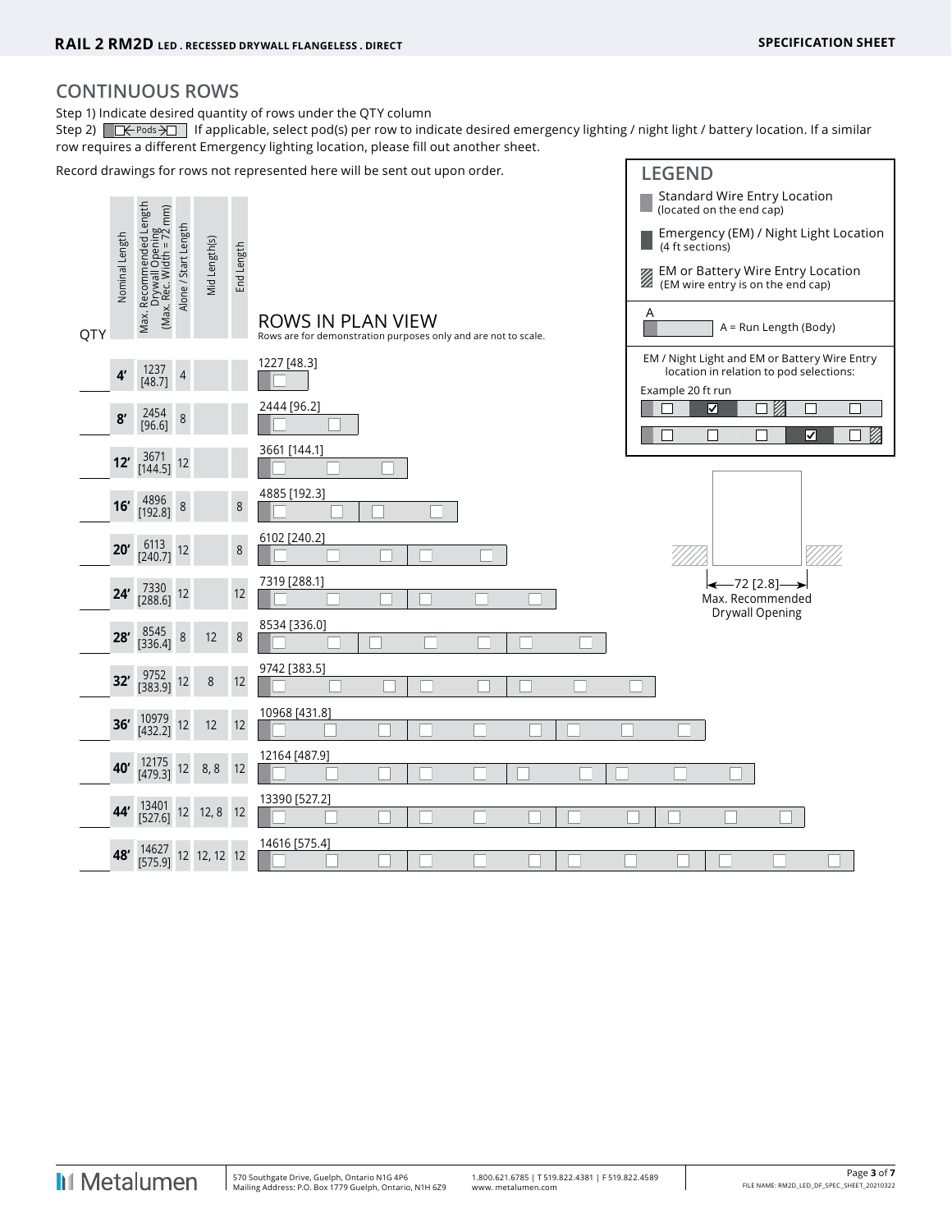# **CONTINUOUS ROWS**

Step 1) Indicate desired quantity of rows under the QTY column

Step 2)  $\Box \leftarrow$  Pods  $\overline{\rightarrow}$  If applicable, select pod(s) per row to indicate desired emergency lighting / night light / battery location. If a similar row requires a different Emergency lighting location, please fill out another sheet.

Record drawings for rows not represented here will be sent out upon order. **LEGEND** Standard Wire Entry Location Max. Recommended Length Max. Recommended Length<br>Drywall Opening<br>(Max. Rec. Width = 72 mm) (Max. Rec. Width = 72 mm) (located on the end cap) Alone / Start Length Alone / Start Length Emergency (EM) / Night Light Location Drywall Opening Nominal Length Nominal Length Mid Length(s) Mid Length(s) (4 ft sections) End Length **EM or Battery Wire Entry Location**<br>**EM wire entry is on the end can)**  (EM wire entry is on the end cap) Max. A ROWS IN PLAN VIEW A = Run Length (Body) **QTY** Rows are for demonstration purposes only and are not to scale. EM / Night Light and EM or Battery Wire Entry 1227 [48.3] **4'** <sup>1237</sup> location in relation to pod selections:  $[48.7]$  4 Example 20 ft run 2444 [96.2]  $\Box$ ञ П V) **8'** <sup>2454</sup>  $\frac{2454}{[96.6]}$  8 ☑ Ø 3661 [144.1] **12'** <sup>3671</sup> [144.5] <sup>12</sup> 4885 [192.3] **16'**  $\begin{bmatrix} 4896 \\ 192.8 \end{bmatrix}$  8 8 6102 [240.2] **20'**  $\begin{bmatrix} 6113 \\ 240.7 \end{bmatrix}$  12 8 7319 [288.1]  $\leftarrow$  72 [2.8]-**24'**  $\begin{bmatrix} 7330 \\ 288.6 \end{bmatrix}$  12 12 Max. Recommended Drywall Opening 8534 [336.0] **28'**  $\begin{bmatrix} 8545 \ 336.4 \end{bmatrix}$  8 12 8 9742 [383.5] **32'**  $\begin{bmatrix} 9752 \\ 383.9 \end{bmatrix}$  12 8 12 10968 [431.8] **36'** <sup>10979</sup> [432.2] <sup>12</sup> <sup>12</sup> <sup>12</sup> 12164 [487.9] **40'** <sup>12175</sup> [479.3] <sup>12</sup> 8, 8 <sup>12</sup> 13390 [527.2] **44'** <sup>13401</sup> [527.6] <sup>12</sup> 12, 8 <sup>12</sup> 14616 [575.4] **48'** <sup>14627</sup> [575.9] <sup>12</sup> 12, 12 <sup>12</sup>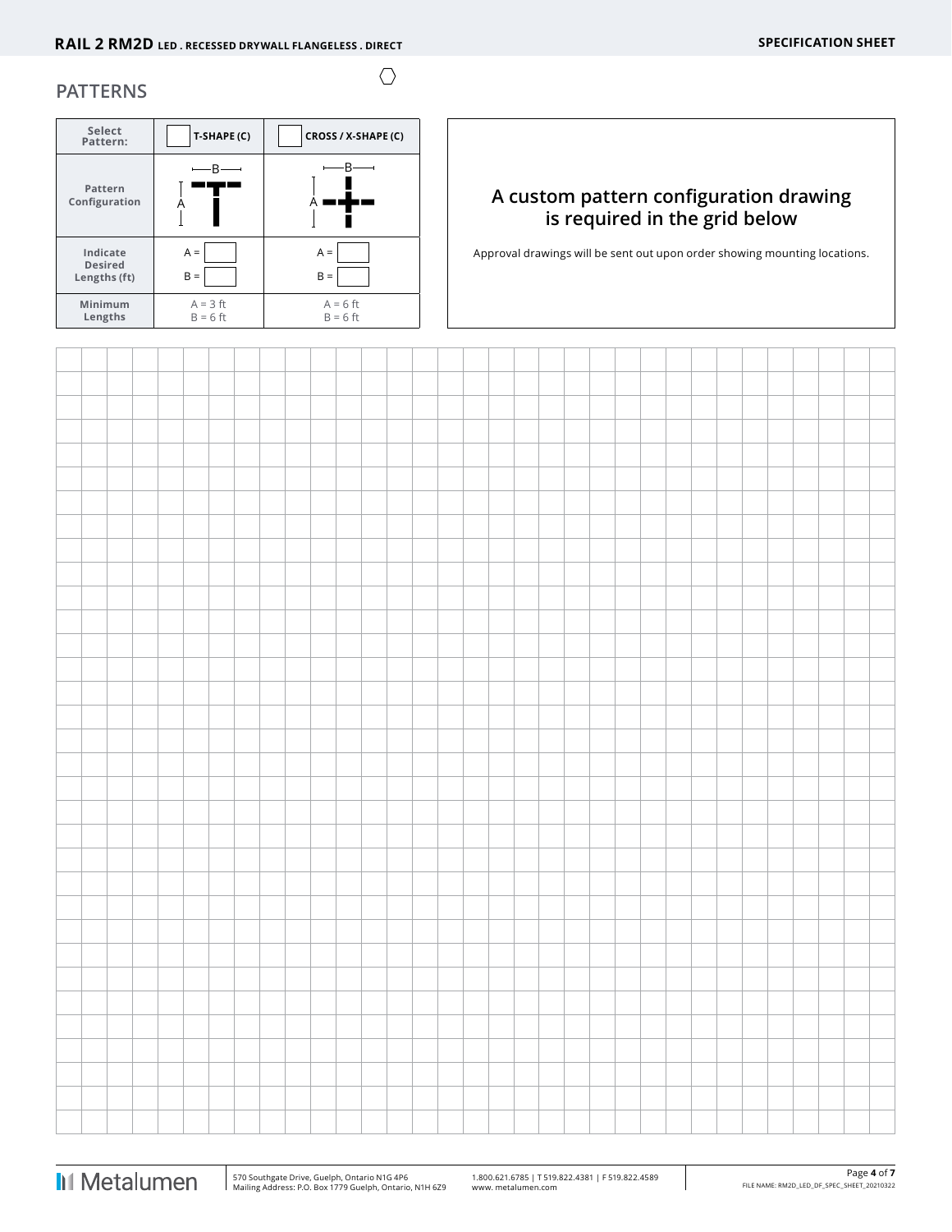$\bigcirc$ 

## **PATTERNS**

| Select<br>Pattern:                         | T-SHAPE (C)              | CROSS / X-SHAPE (C)      |
|--------------------------------------------|--------------------------|--------------------------|
| Pattern<br>Configuration                   |                          |                          |
| Indicate<br><b>Desired</b><br>Lengths (ft) | $A =$<br>B<br>$\equiv$   | $A =$<br>$B =$           |
| Minimum<br>Lengths                         | $A = 3$ ft<br>$B = 6$ ft | $A = 6$ ft<br>$B = 6$ ft |

# **A custom pattern configuration drawing is required in the grid below**

Approval drawings will be sent out upon order showing mounting locations.

 $\overline{1}$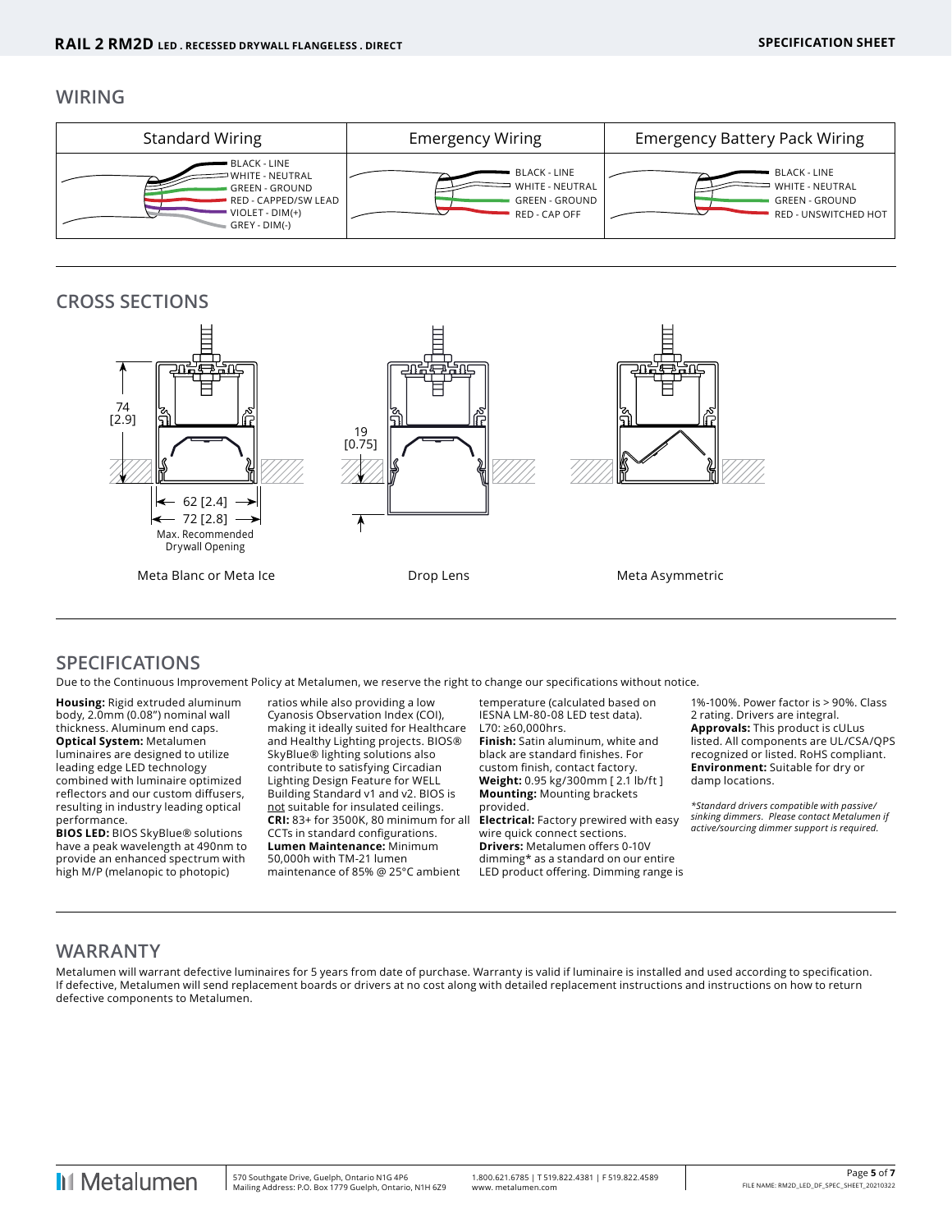### **WIRING**



# **CROSS SECTIONS**



### **SPECIFICATIONS**

Due to the Continuous Improvement Policy at Metalumen, we reserve the right to change our specifications without notice.

**Housing:** Rigid extruded aluminum body, 2.0mm (0.08") nominal wall thickness. Aluminum end caps. **Optical System:** Metalumen luminaires are designed to utilize leading edge LED technology combined with luminaire optimized reflectors and our custom diffusers, resulting in industry leading optical performance.

**BIOS LED:** BIOS SkyBlue® solutions have a peak wavelength at 490nm to provide an enhanced spectrum with high M/P (melanopic to photopic)

ratios while also providing a low Cyanosis Observation Index (COI), making it ideally suited for Healthcare and Healthy Lighting projects. BIOS® SkyBlue® lighting solutions also contribute to satisfying Circadian Lighting Design Feature for WELL Building Standard v1 and v2. BIOS is not suitable for insulated ceilings. **CRI:** 83+ for 3500K, 80 minimum for all CCTs in standard configurations. **Lumen Maintenance:** Minimum 50,000h with TM-21 lumen maintenance of 85% @ 25°C ambient

temperature (calculated based on IESNA LM-80-08 LED test data). L70: ≥60,000hrs. **Finish:** Satin aluminum, white and

black are standard finishes. For custom finish, contact factory. **Weight:** 0.95 kg/300mm [ 2.1 lb/ft ] **Mounting:** Mounting brackets provided.

**Electrical:** Factory prewired with easy wire quick connect sections. **Drivers:** Metalumen offers 0-10V dimming\* as a standard on our entire LED product offering. Dimming range is

1%-100%. Power factor is > 90%. Class 2 rating. Drivers are integral. **Approvals:** This product is cULus listed. All components are UL/CSA/QPS recognized or listed. RoHS compliant. **Environment:** Suitable for dry or damp locations.

*\*Standard drivers compatible with passive/ sinking dimmers. Please contact Metalumen if active/sourcing dimmer support is required.*

### **WARRANTY**

Metalumen will warrant defective luminaires for 5 years from date of purchase. Warranty is valid if luminaire is installed and used according to specification. If defective, Metalumen will send replacement boards or drivers at no cost along with detailed replacement instructions and instructions on how to return defective components to Metalumen.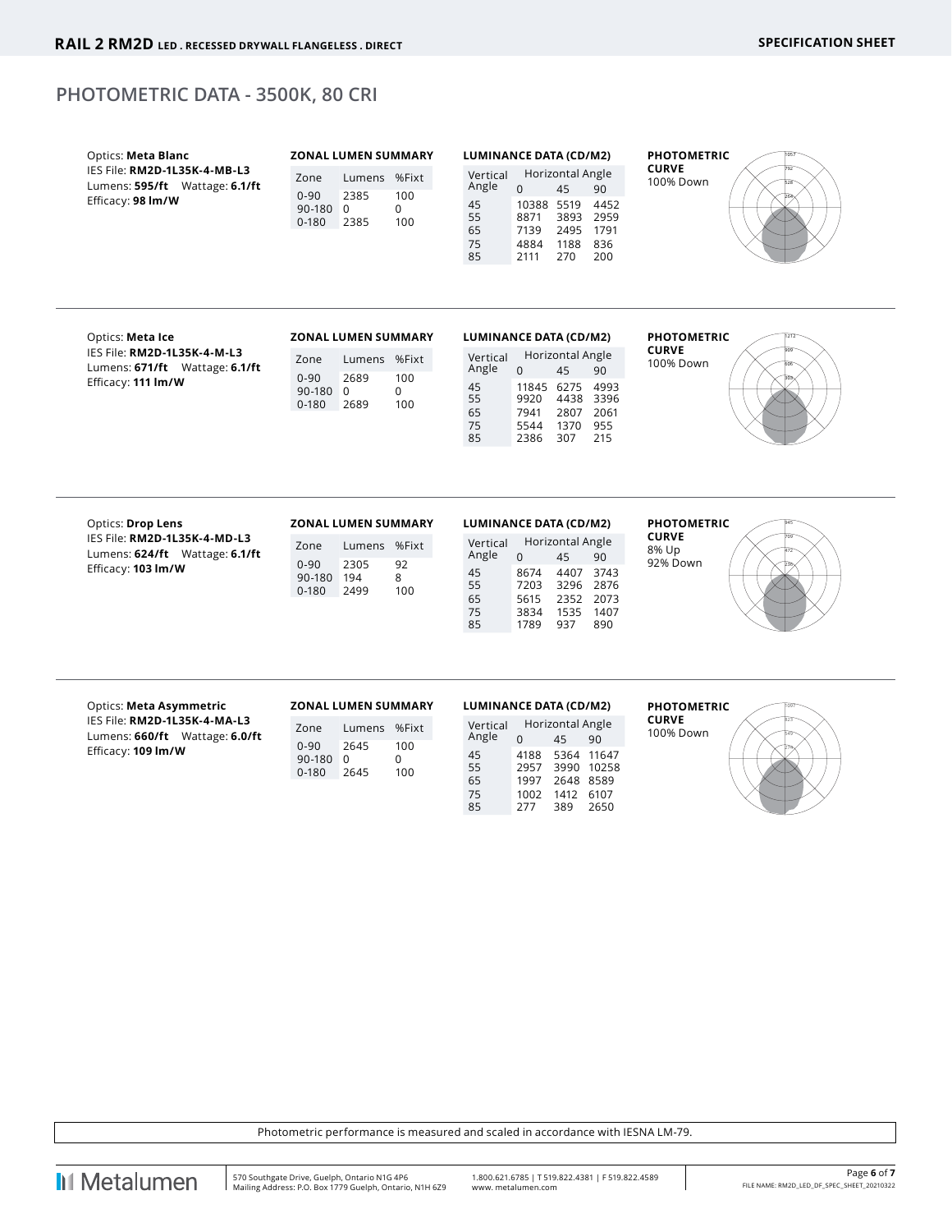# **PHOTOMETRIC DATA - 3500K, 80 CRI**

| Optics: Meta Blanc<br>IES File: RM2D-1L35K-4-MB-L3<br>Lumens: 595/ft Wattage: 6.1/ft<br>Efficacy: 98 Im/W | <b>ZONAL LUMEN SUMMARY</b><br>Lumens %Fixt<br>Zone<br>$0 - 90$<br>2385<br>100<br>0<br>90-180 0<br>$0 - 180$<br>2385<br>100 | <b>LUMINANCE DATA (CD/M2)</b><br>Horizontal Angle<br>Vertical<br>Angle<br>$\Omega$<br>45<br>90<br>45<br>10388 5519<br>4452<br>55<br>8871<br>3893 2959<br>65<br>7139<br>2495 1791<br>4884<br>1188 836<br>75<br>85<br>2111<br>270<br>200 | <b>PHOTOMETRIC</b><br><b>CURVE</b><br>100% Down         |
|-----------------------------------------------------------------------------------------------------------|----------------------------------------------------------------------------------------------------------------------------|----------------------------------------------------------------------------------------------------------------------------------------------------------------------------------------------------------------------------------------|---------------------------------------------------------|
| Optics: Meta Ice<br>IES File: RM2D-1L35K-4-M-L3<br>Lumens: 671/ft Wattage: 6.1/ft<br>Efficacy: 111 Im/W   | <b>ZONAL LUMEN SUMMARY</b><br>Lumens %Fixt<br>Zone<br>$0 - 90$<br>2689<br>100<br>0<br>90-180 0<br>$0 - 180$<br>2689<br>100 | <b>LUMINANCE DATA (CD/M2)</b><br>Horizontal Angle<br>Vertical<br>Angle<br>$\Omega$<br>45<br>90<br>11845 6275 4993<br>45<br>55<br>9920<br>4438 3396<br>65<br>2807 2061<br>7941<br>1370 955<br>75<br>5544<br>85<br>307<br>215<br>2386    | <b>PHOTOMETRIC</b><br><b>CURVE</b><br>100% Down         |
| Optics: Drop Lens<br>IES File: RM2D-1L35K-4-MD-L3<br>Lumens: 624/ft Wattage: 6.1/ft<br>Efficacy: 103 Im/W | ZONAL LUMEN SUMMARY<br>Lumens %Fixt<br>Zone<br>92<br>$0 - 90$<br>2305<br>8<br>90-180 194<br>$0 - 180$<br>2499<br>100       | <b>LUMINANCE DATA (CD/M2)</b><br>Horizontal Angle<br>Vertical<br>Angle<br>$\Omega$<br>45<br>90<br>4407 3743<br>45<br>8674<br>55<br>7203<br>3296 2876<br>65<br>2352 2073<br>5615<br>75<br>1535 1407<br>3834<br>85<br>1789<br>937<br>890 | <b>PHOTOMETRIC</b><br><b>CURVE</b><br>8% Up<br>92% Down |
|                                                                                                           |                                                                                                                            |                                                                                                                                                                                                                                        |                                                         |

IES File: **RM2D-1L35K-4-MA-L3** Lumens: **660/ft** Wattage: **6.0/ft** Efficacy: **109 lm/W**

| Zone                            | Lumens            | %Fixt           |
|---------------------------------|-------------------|-----------------|
| $0 - 90$<br>90-180<br>$0 - 180$ | 2645<br>U<br>2645 | 100<br>U<br>100 |

| LUMINANCE DATA (CD/M2) |      |                  |       |  |  |  |  |  |  |
|------------------------|------|------------------|-------|--|--|--|--|--|--|
| Vertical               |      | Horizontal Angle |       |  |  |  |  |  |  |
| Angle                  | N    | 45               | 90    |  |  |  |  |  |  |
| 45                     | 4188 | 5364             | 11647 |  |  |  |  |  |  |
| 55                     | 2957 | 3990             | 10258 |  |  |  |  |  |  |
| 65                     | 1997 | 2648             | 8589  |  |  |  |  |  |  |
| 75                     | 1002 | 1412             | 6107  |  |  |  |  |  |  |
| 85                     | 277  | 389              | 2650  |  |  |  |  |  |  |

**PHOTOMETRIC CURVE** 100% Down

274 549 823

Photometric performance is measured and scaled in accordance with IESNA LM-79.

**II** Metalumen

 $\overline{1}$